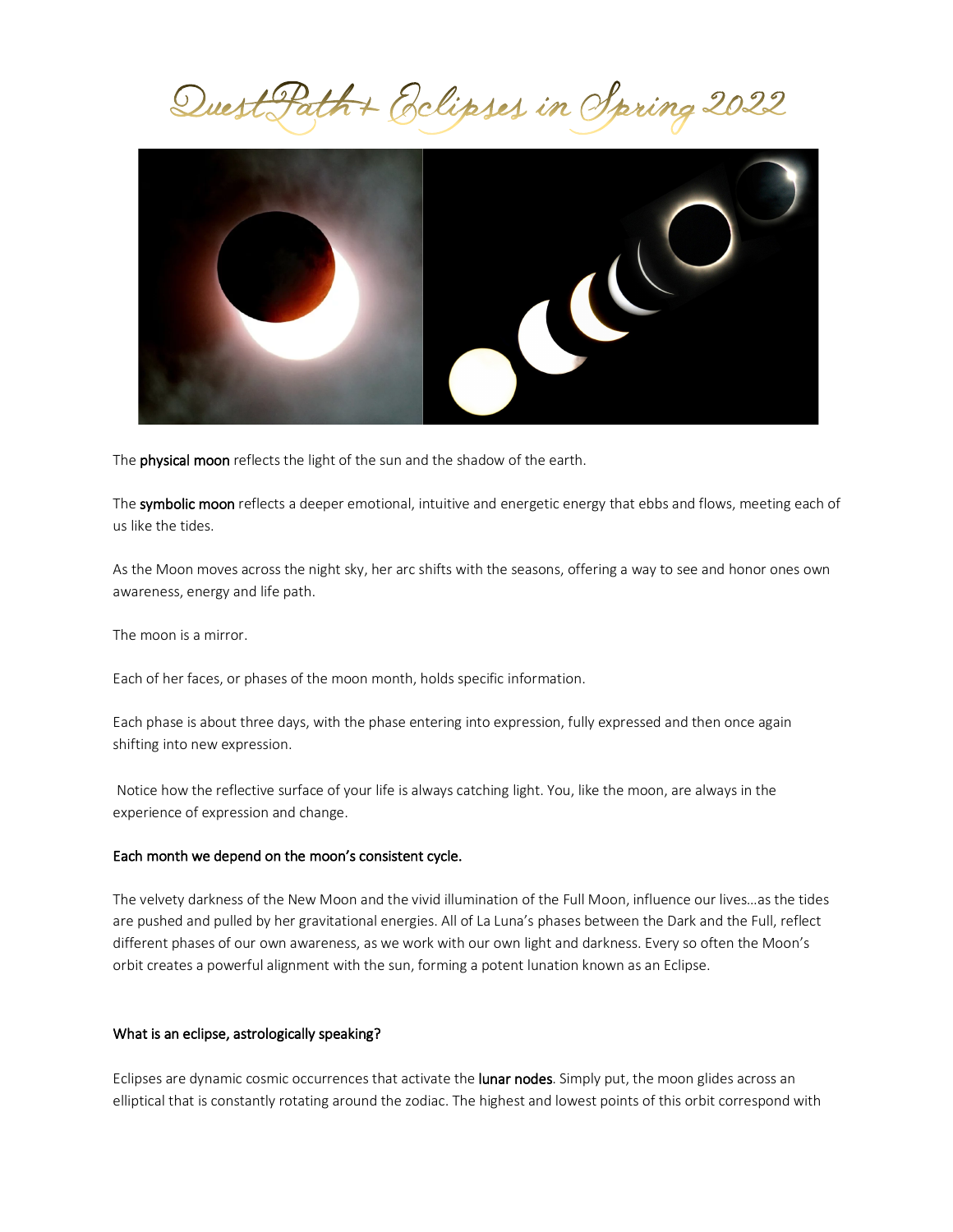Quest Path + Eclipses in Spring 2022



The physical moon reflects the light of the sun and the shadow of the earth.

The symbolic moon reflects a deeper emotional, intuitive and energetic energy that ebbs and flows, meeting each of us like the tides.

As the Moon moves across the night sky, her arc shifts with the seasons, offering a way to see and honor ones own awareness, energy and life path.

The moon is a mirror.

Each of her faces, or phases of the moon month, holds specific information.

Each phase is about three days, with the phase entering into expression, fully expressed and then once again shifting into new expression.

Notice how the reflective surface of your life is always catching light. You, like the moon, are always in the experience of expression and change.

## Each month we depend on the moon's consistent cycle.

The velvety darkness of the New Moon and the vivid illumination of the Full Moon, influence our lives…as the tides are pushed and pulled by her gravitational energies. All of La Luna's phases between the Dark and the Full, reflect different phases of our own awareness, as we work with our own light and darkness. Every so often the Moon's orbit creates a powerful alignment with the sun, forming a potent lunation known as an Eclipse.

#### What is an eclipse, astrologically speaking?

Eclipses are dynamic cosmic occurrences that activate the lunar nodes. Simply put, the moon glides across an elliptical that is constantly rotating around the zodiac. The highest and lowest points of this orbit correspond with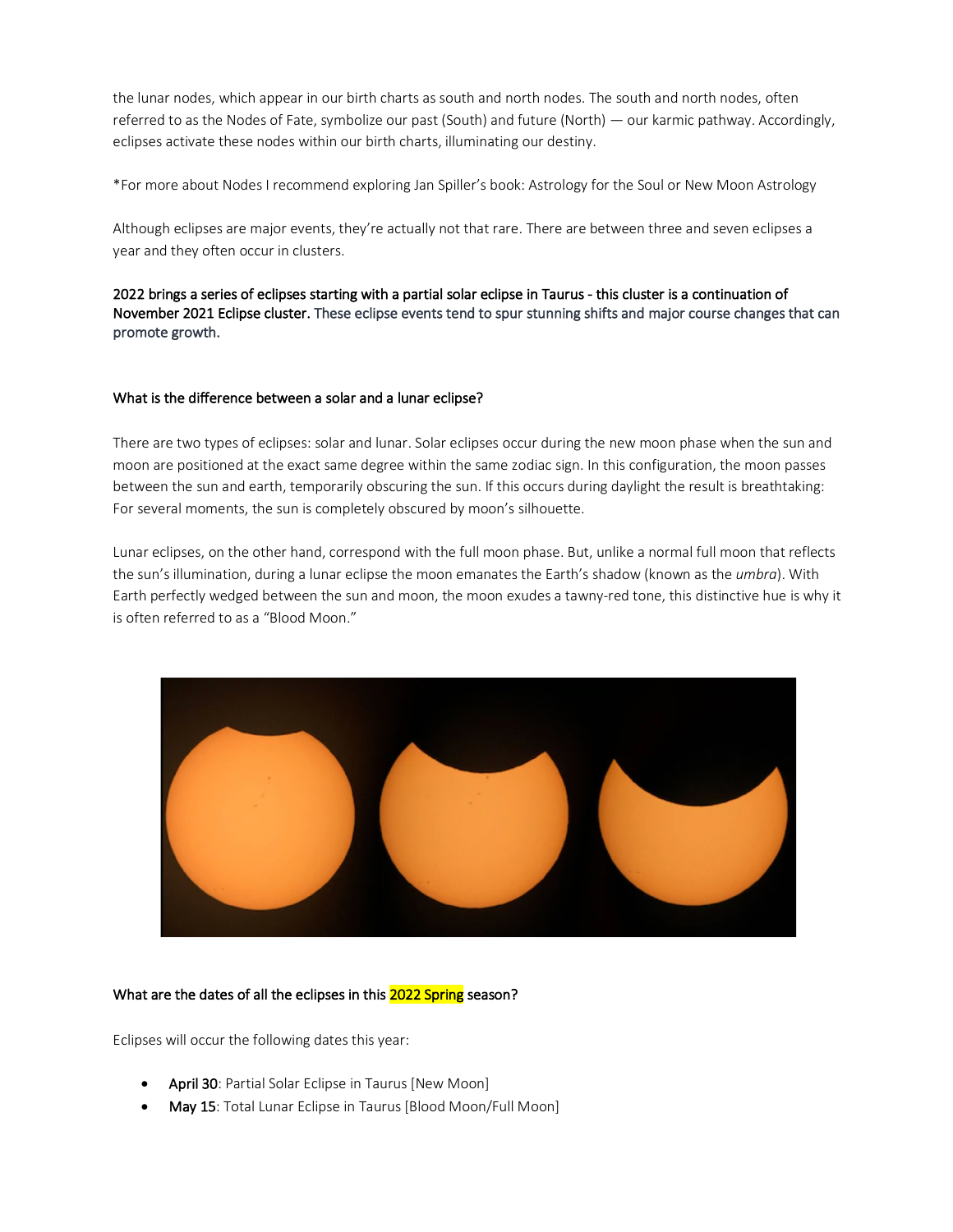the lunar nodes, which appear in our birth charts as south and north nodes. The south and north nodes, often referred to as the Nodes of Fate, symbolize our past (South) and future (North) — our karmic pathway. Accordingly, eclipses activate these nodes within our birth charts, illuminating our destiny.

\*For more about Nodes I recommend exploring Jan Spiller's book: Astrology for the Soul or New Moon Astrology

Although eclipses are major events, they're actually not that rare. There are between three and seven eclipses a year and they often occur in clusters.

2022 brings a series of eclipses starting with a partial solar eclipse in Taurus - this cluster is a continuation of November 2021 Eclipse cluster. These eclipse events tend to spur stunning shifts and major course changes that can promote growth.

# What is the difference between a solar and a lunar eclipse?

There are two types of eclipses: solar and lunar. Solar eclipses occur during the new moon phase when the sun and moon are positioned at the exact same degree within the same zodiac sign. In this configuration, the moon passes between the sun and earth, temporarily obscuring the sun. If this occurs during daylight the result is breathtaking: For several moments, the sun is completely obscured by moon's silhouette.

Lunar eclipses, on the other hand, correspond with the full moon phase. But, unlike a normal full moon that reflects the sun's illumination, during a lunar eclipse the moon emanates the Earth's shadow (known as the *umbra*). With Earth perfectly wedged between the sun and moon, the moon exudes a tawny-red tone, this distinctive hue is why it is often referred to as a "Blood Moon."



# What are the dates of all the eclipses in this 2022 Spring season?

Eclipses will occur the following dates this year:

- April 30: Partial Solar Eclipse in Taurus [New Moon]
- May 15: Total Lunar Eclipse in Taurus [Blood Moon/Full Moon]